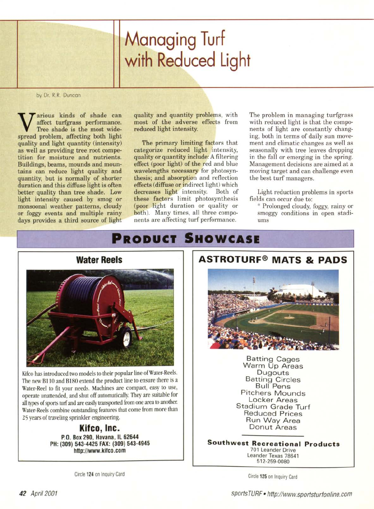# Managing Turf with Reduced Light

by Dr. R.R. Duncan

Warious kinds of shade can<br>Tree shade is the most wide<br>spread problem, affecting both light arious kinds of shade can affect turfgrass performance. Tree shade is the most widequality and light quantity (intensity) as well as providing tree root competition for moisture and nutrients. Buildings, beams, mounds and mountains can reduce light quality and quantity, but is normally of shorter duration and this diffuse light is often better quality than tree shade. Low light intensity caused by smog or monsoonal weather patterns, cloudy or foggy events and multiple rainy days provides a third source of light quality and quantity problems, with most of the adverse effects from reduced light intensity.

The primary limiting factors that categorize reduced light intensity, quality or quantity include: A filtering effect (poor light) of the red and blue wavelengths necessary for photosynthesis; and absorption and reflection effects (diffuse or indirect light) which decreases light intensity. Both of these factors limit photosynthesis (poor light duration or quality or both). Many times, all three components are affecting turf performance.

The problem in managing turfgrass with reduced light is that the components of light are constantly changing, both in terms of daily sun movement and climatic changes as well as seasonally with tree leaves dropping in the fall or emerging in the spring. Management decisions are aimed at a moving target and can challenge even the best turf managers.

Light reduction problems in sports fields can occur due to:

\* Prolonged cloudy, foggy, rainy or smoggy conditions in open stadiums

# **PRODUCT SHOWCASE**



Kifco has introduced two models to their popular line of Water-Reels. The new B110 and B180 extend the product line to ensure there is a Water-Reel to fit your needs. Machines are compact, easy to use, operate unattended, and shut off automatically. They are suitable for all types of sports turf and are easily transported from one area to another. Water-Reels combine outstanding features that come from more than 25 years of traveling sprinkler engineering.

> **KiteD, Ine.** P.O. Box 290, Havana, IL 62644 PH: (309) 543-4425 FAX: (309) 543-4945 <http://www.kifeo.eom>

> > Circle 124 on Inquiry Card

# **ASTROTURF@ MATS & PADS**



Batting Cages Warm Up Areas Dugouts Batting Circles Bull Pens Pitchers Mounds Locker Areas Stadium Grade Turf Reduced Prices Run Way Area Donut Areas

**Southwest Recreational Products** 701 Leander Drive Leander Texas 78641 512-259-0080

Circle 125 on Inquiry Card

*sports TURF• <http://www.sportsturfonline.com>*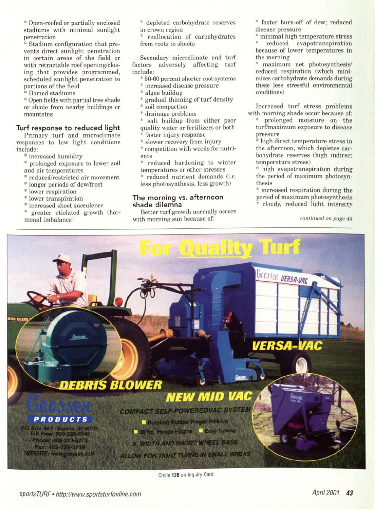\* Open-roofed or partially enclosed stadiums with minimal sunlight penetration

Stadium configuration that prevents direct sunlight penetration in certain areas of the field or with retractable roof opening/closing that provides programmed, scheduled sunlight penetration to portions of the field

\* Domed stadiums

\* Open fields with partial tree shade or shade from nearby buildings or mountains

# **Turf response to reduced light**

Primary turf and microclimate responses to low light conditions include:

- \* increased humidity
- prolonged exposure to lower soil and air temperatures
- reduced/restricted air movement
- \* longer periods of dew/frost
- \* lower respiration
- \* lower transpiration
- \* increased shoot succulence
- greater etiolated growth (hormonal imbalance)
- \* depleted carbohydrate reserves in crown region
- reallocation of carbohydrates from roots to shoots

Secondary microclimate and turf factors adversely affecting turf include:

- 50-60 percent shorter root systems
- \* increased disease pressure
- algae buildup
- gradual thinning of turf density
- \* soil compaction
- \* drainage problems
- salt buildup from either poor quality water or fertilizers or both
- faster injury response
- \* slower recovery from injury \* competition with weeds for nutrients
- reduced hardening to winter temperatures or other stresses
- reduced nutrient demands (i.e. less photosynthesis, less growth)

## **The morning vs. afternoon shade dilemna**

Better turf growth normally occurs with morning sun because of:

\* faster burn-off of dew; reduced disease pressure

\* minimal high temperature stress reduced evapotranspiration because of lower temperatures in the morning

maximum net photosynthesis/ reduced respiration (which minimizes carbohydrate demands during these less stressful environmental conditions)

Increased turf stress problems with morning shade occur because of:

prolonged moisture on the turf/maximum exposure to disease pressure

\* high direct temperature stress in the afternoon, which depletes carbohydrate reserves (high indirect temperature stress)

\* high evapotranspiration during the period of maximum photosynthesis

\* increased respiration during the period of maximum photosynthesis cloudy, reduced light intensity

*continued on page 43*